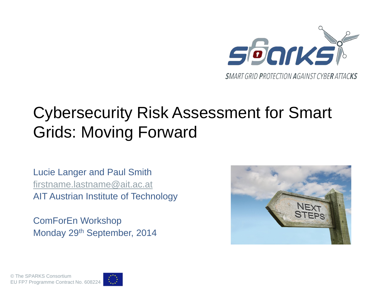

### Cybersecurity Risk Assessment for Smart Grids: Moving Forward

Lucie Langer and Paul Smith [firstname.lastname@ait.ac.at](mailto:firstname.lastname@ait.ac.at) AIT Austrian Institute of Technology

ComForEn Workshop Monday 29th September, 2014



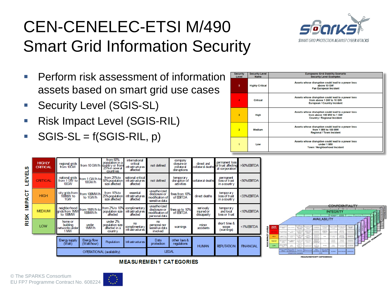## CEN-CENELEC-ETSI M/490 Smart Grid Information Security



- **Perform risk assessment of information** assets based on smart grid use cases
- **Security Level (SGIS-SL)**
- Risk Impact Level (SGIS-RIL)
- $SGS-SL = f(SGIS-RIL, p)$

| <b>Security</b><br>Level | <b>Security Level</b><br><b>Name</b> | <b>Europeans Grid Stability Scenario</b><br><b>Security Level Examples</b>                                            |
|--------------------------|--------------------------------------|-----------------------------------------------------------------------------------------------------------------------|
| 5                        | <b>Highly Critical</b>               | Assets whose disruption could lead to a power loss<br>above 10 GW<br><b>Pan European Incident</b>                     |
| 4                        | <b>Critical</b>                      | Assets whose disruption could lead to a power loss<br>from above 1 GW to 10 GW<br><b>European / Country Incident</b>  |
| $\overline{\mathbf{3}}$  | High                                 | Assets whose disruption could lead to a power loss<br>from above 100 MW to 1 GW<br><b>Country / Regional Incident</b> |
| $\overline{2}$           | <b>Medium</b>                        | Assets whose disruption could lead to a power loss<br>from 1 MW to 100 MW<br><b>Regional / Town Incident</b>          |
|                          | Low                                  | Assets whose disruption could lead to a power loss<br>under 1 MW<br><b>Town / Neighborhood Incident</b>               |

| ഗ           | <b>HIGHLY</b><br><b>CRITICAL</b> | regional grids<br>from 10GW                   | from 10 GW/h<br>from 10 GW/h<br>25% in several | from 50%<br>countries                                   | international<br>critical<br>infrastructures<br>affected | not defined                                                        | company<br>dosure or<br>collateral<br>disruptions | direct and<br>collateral deaths        | permanent loss<br>of trust affecting<br>all corporation | $>50\%$ EBITDA          |
|-------------|----------------------------------|-----------------------------------------------|------------------------------------------------|---------------------------------------------------------|----------------------------------------------------------|--------------------------------------------------------------------|---------------------------------------------------|----------------------------------------|---------------------------------------------------------|-------------------------|
| ᇤ<br>识      | <b>CRITICAL</b>                  | national grids<br>from 1 GW to<br><b>10GW</b> | from 1 GW/h to<br>10GW/h                       | from 25% to<br>50% population<br>size affected          | national critical<br>infrastructures<br>affected         | not defined                                                        | temporary<br>disruption of<br>activities          | collateral deaths                      | permanent<br>loss of trust<br>in a country              | <50% EBITDA             |
| ⊢<br>ပ<br>준 | <b>HIGH</b>                      | city grids from<br>100MW to<br>1GW            | from 100MW/h<br>to 1GW/h                       | from 10% to<br>25% population<br>size affected          | essential<br>infrastructures<br>affected                 | unauthorized<br>disclosure or<br>modification of<br>sensitive data | fines from 10%<br>of <b>EBITDA</b>                | direct deaths                          | temporary<br>loss of trust<br>in a country              | <33% EBITDA             |
| Σ           | <b>MEDIUM</b>                    | neighborhood<br>grids from 1MW<br>to 100MW    | from 1MW/h to<br>100MW/h                       | from 2% to 10%<br>population size<br>affected           | complimentary<br>infrastructures<br>affected             | unauthorized<br>disclosure or<br>modification of<br>personal data  | fines up to 10%<br>of ESITDA                      | seriously<br>injured or<br>discapacity | temporary<br>and local<br>loss or trust                 | $<$ 10% $\text{EBITDA}$ |
| <b>RISK</b> | LOW                              | home or<br>building<br>networks under<br>1 MW | under<br>1MW/h                                 | under 2%<br>population size<br>affected in a<br>country | no<br>complimentary<br>infrastructures                   | mo<br>personal nor<br>sensitive data<br>involved                   | warnings                                          | minor<br>accidents                     | short time &<br>scope<br>(warnings)                     | $<$ 1% EBITDA           |
|             |                                  | Energy supply<br>(W <sub>at</sub> )           | Energy flow<br>(Watt/hour)                     | <b>Population</b>                                       | <b>Infrastructures</b>                                   | Data<br>protection                                                 | other laws &<br>regulations                       | <b>HUMAN</b>                           | <b>REPUTATION</b>                                       | <b>FINANCIAL</b>        |
|             | OPERATIONAL (availability)       |                                               |                                                |                                                         |                                                          | <b>LEGAL</b>                                                       |                                                   |                                        |                                                         |                         |



#### **MEASUREMENT CATEGORIES**

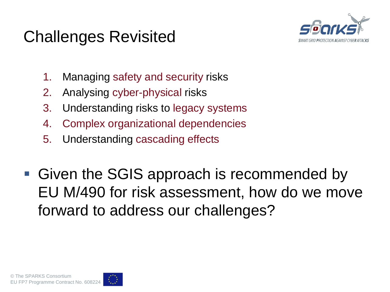### Challenges Revisited



- 1. Managing safety and security risks
- 2. Analysing cyber-physical risks
- 3. Understanding risks to legacy systems
- 4. Complex organizational dependencies
- 5. Understanding cascading effects
- Given the SGIS approach is recommended by EU M/490 for risk assessment, how do we move forward to address our challenges?